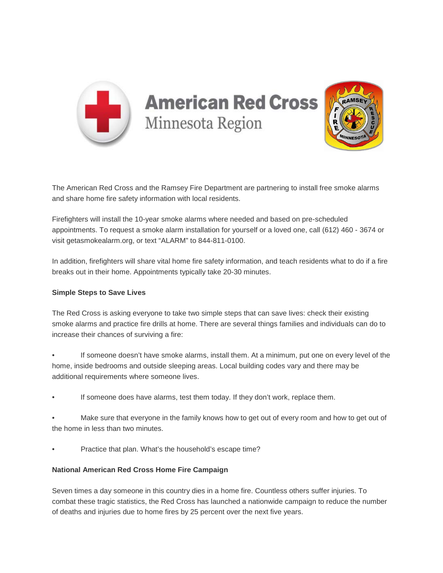

The American Red Cross and the Ramsey Fire Department are partnering to install free smoke alarms and share home fire safety information with local residents.

Firefighters will install the 10-year smoke alarms where needed and based on pre-scheduled appointments. To request a smoke alarm installation for yourself or a loved one, call (612) 460 - 3674 or visit getasmokealarm.org, or text "ALARM" to 844-811-0100.

In addition, firefighters will share vital home fire safety information, and teach residents what to do if a fire breaks out in their home. Appointments typically take 20-30 minutes.

## **Simple Steps to Save Lives**

The Red Cross is asking everyone to take two simple steps that can save lives: check their existing smoke alarms and practice fire drills at home. There are several things families and individuals can do to increase their chances of surviving a fire:

• If someone doesn't have smoke alarms, install them. At a minimum, put one on every level of the home, inside bedrooms and outside sleeping areas. Local building codes vary and there may be additional requirements where someone lives.

- If someone does have alarms, test them today. If they don't work, replace them.
- Make sure that everyone in the family knows how to get out of every room and how to get out of the home in less than two minutes.
- Practice that plan. What's the household's escape time?

## **National American Red Cross Home Fire Campaign**

Seven times a day someone in this country dies in a home fire. Countless others suffer injuries. To combat these tragic statistics, the Red Cross has launched a nationwide campaign to reduce the number of deaths and injuries due to home fires by 25 percent over the next five years.